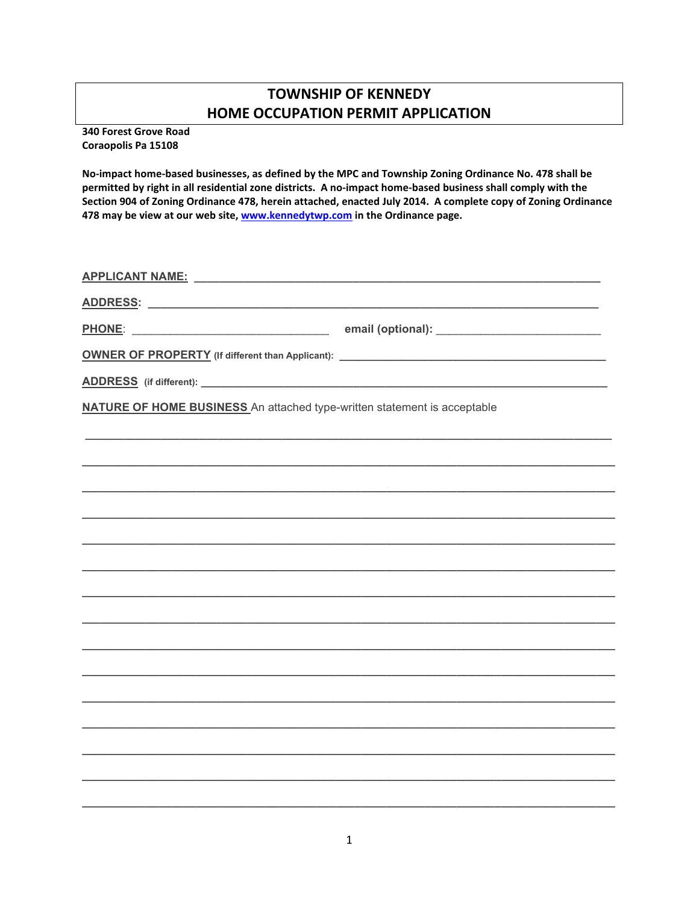## **TOWNSHIP OF KENNEDY** HOME OCCUPATION PERMIT APPLICATION

340 Forest Grove Road Coraopolis Pa 15108

No-impact home-based businesses, as defined by the MPC and Township Zoning Ordinance No. 478 shall be permitted by right in all residential zone districts. A no-impact home-based business shall comply with the Section 904 of Zoning Ordinance 478, herein attached, enacted July 2014. A complete copy of Zoning Ordinance 478 may be view at our web site, www.kennedytwp.com in the Ordinance page.

| <u>PHONE: _________________________________</u>                                 |  |
|---------------------------------------------------------------------------------|--|
|                                                                                 |  |
|                                                                                 |  |
| <b>NATURE OF HOME BUSINESS</b> An attached type-written statement is acceptable |  |
|                                                                                 |  |
|                                                                                 |  |
|                                                                                 |  |
|                                                                                 |  |
|                                                                                 |  |
|                                                                                 |  |
|                                                                                 |  |
|                                                                                 |  |
|                                                                                 |  |
|                                                                                 |  |
|                                                                                 |  |
|                                                                                 |  |
|                                                                                 |  |
|                                                                                 |  |
|                                                                                 |  |